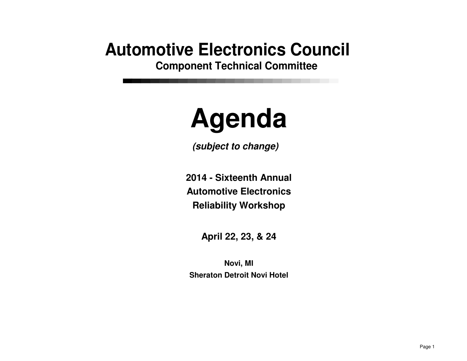## **Automotive Electronics Council**

**Component Technical Committee**

## **Agenda**

**(subject to change)**

**2014 - Sixteenth AnnualAutomotive ElectronicsReliability Workshop**

**April 22, 23, & 24**

**Sheraton Detroit Novi HotelNovi, MI**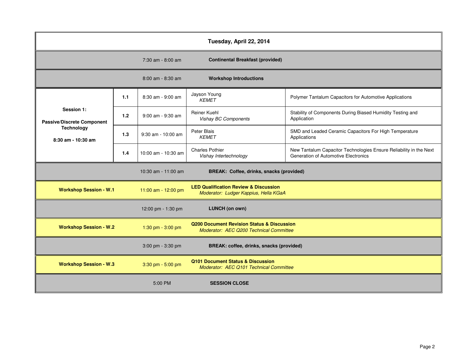| Tuesday, April 22, 2014                                                                      |       |                                                                              |                                                                                                  |                                                                                                            |
|----------------------------------------------------------------------------------------------|-------|------------------------------------------------------------------------------|--------------------------------------------------------------------------------------------------|------------------------------------------------------------------------------------------------------------|
|                                                                                              |       | 7:30 am - 8:00 am                                                            | <b>Continental Breakfast (provided)</b>                                                          |                                                                                                            |
|                                                                                              |       | 8:00 am - 8:30 am                                                            | <b>Workshop Introductions</b>                                                                    |                                                                                                            |
| Session 1:<br><b>Passive/Discrete Component</b><br><b>Technology</b><br>$8:30$ am - 10:30 am | 1.1   | 8:30 am - 9:00 am                                                            | Jayson Young<br><b>KEMET</b>                                                                     | Polymer Tantalum Capacitors for Automotive Applications                                                    |
|                                                                                              | 1.2   | 9:00 am - 9:30 am                                                            | Reiner Kuehl<br>Vishay BC Components                                                             | Stability of Components During Biased Humidity Testing and<br>Application                                  |
|                                                                                              | 1.3   | $9:30$ am - 10:00 am                                                         | Peter Blais<br><b>KEMET</b>                                                                      | SMD and Leaded Ceramic Capacitors For High Temperature<br>Applications                                     |
|                                                                                              | $1.4$ | 10:00 am - 10:30 am                                                          | <b>Charles Pothier</b><br>Vishay Intertechnology                                                 | New Tantalum Capacitor Technologies Ensure Reliability in the Next<br>Generation of Automotive Electronics |
| BREAK: Coffee, drinks, snacks (provided)<br>10:30 am - 11:00 am                              |       |                                                                              |                                                                                                  |                                                                                                            |
| <b>Workshop Session - W.1</b>                                                                |       | 11:00 am - 12:00 pm                                                          | <b>LED Qualification Review &amp; Discussion</b><br>Moderator: Ludger Kappius, Hella KGaA        |                                                                                                            |
|                                                                                              |       | 12:00 pm - 1:30 pm                                                           | <b>LUNCH</b> (on own)                                                                            |                                                                                                            |
| <b>Workshop Session - W.2</b>                                                                |       | 1:30 pm - 3:00 pm                                                            | <b>Q200 Document Revision Status &amp; Discussion</b><br>Moderator: AEC Q200 Technical Committee |                                                                                                            |
| BREAK: coffee, drinks, snacks (provided)<br>3:00 pm - 3:30 pm                                |       |                                                                              |                                                                                                  |                                                                                                            |
| <b>Workshop Session - W.3</b><br>3:30 pm - 5:00 pm                                           |       | Q101 Document Status & Discussion<br>Moderator: AEC Q101 Technical Committee |                                                                                                  |                                                                                                            |
|                                                                                              |       | 5:00 PM                                                                      | <b>SESSION CLOSE</b>                                                                             |                                                                                                            |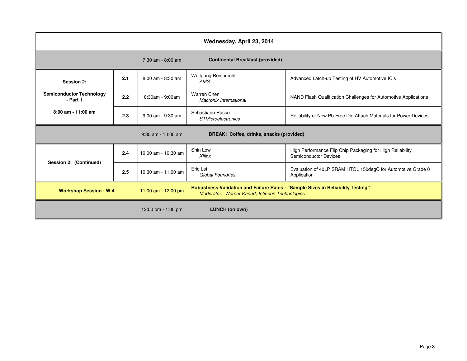| Wednesday, April 23, 2014                                                                                                                                                                  |     |                       |                                                     |                                                                                           |  |
|--------------------------------------------------------------------------------------------------------------------------------------------------------------------------------------------|-----|-----------------------|-----------------------------------------------------|-------------------------------------------------------------------------------------------|--|
|                                                                                                                                                                                            |     | 7:30 am - 8:00 am     | <b>Continental Breakfast (provided)</b>             |                                                                                           |  |
| Session 2:                                                                                                                                                                                 | 2.1 | $8:00$ am - $8:30$ am | Wolfgang Reinprecht<br>AMS                          | Advanced Latch-up Testing of HV Automotive IC's                                           |  |
| <b>Semiconductor Technology</b><br>- Part 1                                                                                                                                                | 2.2 | 8:30am - 9:00am       | <b>Warren Chen</b><br><b>Macronix International</b> | NAND Flash Qualification Challenges for Automotive Applications                           |  |
| $8:00$ am - 11:00 am                                                                                                                                                                       | 2.3 | 9:00 am - 9:30 am     | Sebastiano Russo<br><b>STMicroelectronics</b>       | Reliability of New Pb-Free Die Attach Materials for Power Devices                         |  |
| BREAK: Coffee, drinks, snacks (provided)<br>$9:30$ am - 10:00 am                                                                                                                           |     |                       |                                                     |                                                                                           |  |
| Session 2: (Continued)                                                                                                                                                                     | 2.4 | 10:00 am - 10:30 am   | Shin Low<br><b>Xilinx</b>                           | High Performance Flip Chip Packaging for High Reliability<br><b>Semiconductor Devices</b> |  |
|                                                                                                                                                                                            | 2.5 | 10:30 am - 11:00 am   | Eric Lei<br>Global Foundries                        | Evaluation of 40LP SRAM HTOL 150degC for Automotive Grade 0<br>Application                |  |
| Robustness Validation and Failure Rates - "Sample Sizes in Reliability Testing"<br><b>Workshop Session - W.4</b><br>11:00 am - 12:00 pm<br>Moderator: Werner Kanert, Infineon Technologies |     |                       |                                                     |                                                                                           |  |
|                                                                                                                                                                                            |     | 12:00 pm $-1:30$ pm   | LUNCH (on own)                                      |                                                                                           |  |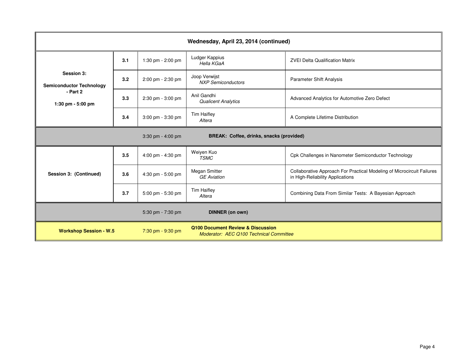| Wednesday, April 23, 2014 (continued)                                          |     |                                                                              |                                            |                                                                                                            |
|--------------------------------------------------------------------------------|-----|------------------------------------------------------------------------------|--------------------------------------------|------------------------------------------------------------------------------------------------------------|
| Session 3:<br><b>Semiconductor Technology</b><br>- Part 2<br>1:30 pm - 5:00 pm | 3.1 | 1:30 pm - 2:00 pm                                                            | Ludger Kappius<br>Hella KGaA               | <b>ZVEI Delta Qualification Matrix</b>                                                                     |
|                                                                                | 3.2 | 2:00 pm - 2:30 pm                                                            | Joop Verwijst<br><b>NXP Semiconductors</b> | <b>Parameter Shift Analysis</b>                                                                            |
|                                                                                | 3.3 | 2:30 pm - 3:00 pm                                                            | Anil Gandhi<br><b>Qualicent Analytics</b>  | Advanced Analytics for Automotive Zero Defect                                                              |
|                                                                                | 3.4 | 3:00 pm - 3:30 pm                                                            | <b>Tim Haifley</b><br>Altera               | A Complete Lifetime Distribution                                                                           |
| $3:30$ pm - 4:00 pm<br>BREAK: Coffee, drinks, snacks (provided)                |     |                                                                              |                                            |                                                                                                            |
| Session 3: (Continued)                                                         | 3.5 | 4:00 pm - 4:30 pm                                                            | Weiyen Kuo<br><b>TSMC</b>                  | Cpk Challenges in Nanometer Semiconductor Technology                                                       |
|                                                                                | 3.6 | 4:30 pm - 5:00 pm                                                            | Megan Smitter<br><b>GE</b> Aviation        | Collaborative Approach For Practical Modeling of Microcircuit Failures<br>in High-Reliability Applications |
|                                                                                | 3.7 | 5:00 pm - 5:30 pm                                                            | <b>Tim Haifley</b><br>Altera               | Combining Data From Similar Tests: A Bayesian Approach                                                     |
|                                                                                |     | 5:30 pm - 7:30 pm                                                            | <b>DINNER</b> (on own)                     |                                                                                                            |
| 7:30 pm - 9:30 pm<br><b>Workshop Session - W.5</b>                             |     | Q100 Document Review & Discussion<br>Moderator: AEC Q100 Technical Committee |                                            |                                                                                                            |